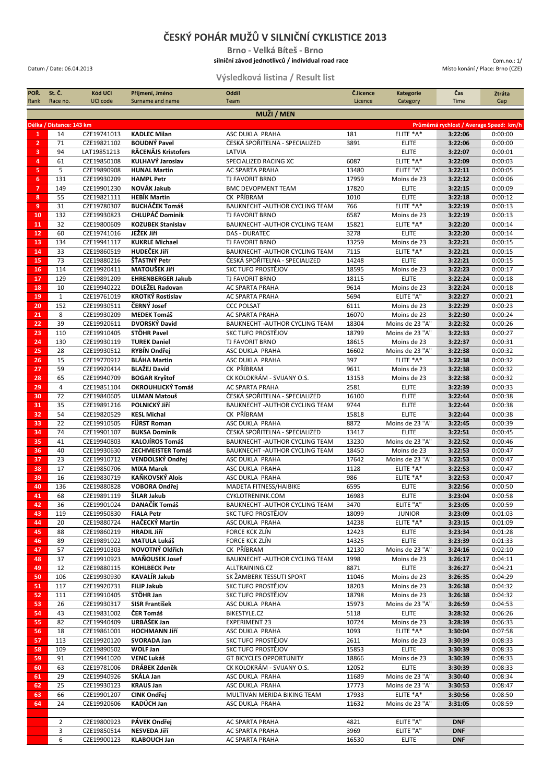## **ČESKÝ POHÁR MUŽŮ V SILNIČNÍ CYKLISTICE 2013**

**Brno - Velká Bíteš - Brno silniční závod jednotlivců / individual road race g**

## Datum / Date: 06.04.2013 Místo konání / Place: Brno (CZE)

Com.no.: 1/

**Výsledková listina / Result list**

| POR.                | St. C.                   | Kód UCI<br>UCI code        | Příjmení, Jméno                                | Oddíl                                                                        | Č.licence      | <b>Kategorie</b>                | Čas<br>Time                             | Ztráta             |
|---------------------|--------------------------|----------------------------|------------------------------------------------|------------------------------------------------------------------------------|----------------|---------------------------------|-----------------------------------------|--------------------|
| Rank                | Race no.                 |                            | Surname and name                               | Team                                                                         | Licence        | Category                        |                                         | Gap                |
| MUŽI / MEN          |                          |                            |                                                |                                                                              |                |                                 |                                         |                    |
|                     | Délka / Distance: 143 km |                            |                                                |                                                                              |                |                                 | Průměrná rychlost / Average Speed: km/h |                    |
| 1                   | 14                       | CZE19741013                | <b>KADLEC Milan</b>                            | ASC DUKLA PRAHA                                                              | 181            | ELITE *A*                       | 3:22:06                                 | 0:00:00            |
| $\overline{2}$      | 71                       | CZE19821102                | <b>BOUDNÝ Pavel</b>                            | ČESKÁ SPOŘITELNA - SPECIALIZED                                               | 3891           | <b>ELITE</b>                    | 3:22:06                                 | 0:00:00            |
| 3                   | 94                       | LAT19851213                | RĀCENĀJS Kristofers                            | LATVIA                                                                       |                | <b>ELITE</b>                    | 3:22:07                                 | 0:00:01            |
| $\overline{4}$<br>5 | 61<br>5                  | CZE19850108<br>CZE19890908 | KULHAVÝ Jaroslav<br><b>HUNAL Martin</b>        | SPECIALIZED RACING XC<br><b>AC SPARTA PRAHA</b>                              | 6087<br>13480  | ELITE *A*<br>ELITE "A"          | 3:22:09<br>3:22:11                      | 0:00:03<br>0:00:05 |
| 6                   | 131                      | CZE19930209                | <b>HAMPL Petr</b>                              | <b>TJ FAVORIT BRNO</b>                                                       | 17959          | Moins de 23                     | 3:22:12                                 | 0:00:06            |
| $\overline{7}$      | 149                      | CZE19901230                | NOVÁK Jakub                                    | <b>BMC DEVOPMENT TEAM</b>                                                    | 17820          | <b>ELITE</b>                    | 3:22:15                                 | 0:00:09            |
| 8                   | 55                       | CZE19821111                | <b>HEBÍK Martin</b>                            | CK PŘÍBRAM                                                                   | 1010           | <b>ELITE</b>                    | 3:22:18                                 | 0:00:12            |
| 9                   | 31                       | CZE19780307                | <b>BUCHÁČEK Tomáš</b>                          | BAUKNECHT - AUTHOR CYCLING TEAM                                              | 766            | ELITE *A*                       | 3:22:19                                 | 0:00:13            |
| 10                  | 132                      | CZE19930823                | <b>CHLUPÁČ Dominik</b>                         | <b>TJ FAVORIT BRNO</b>                                                       | 6587           | Moins de 23                     | 3:22:19                                 | 0:00:13            |
| 11                  | 32                       | CZE19800609                | <b>KOZUBEK Stanislav</b>                       | BAUKNECHT - AUTHOR CYCLING TEAM                                              | 15821          | ELITE *A*                       | 3:22:20                                 | 0:00:14            |
| 12                  | 60                       | CZE19741016                | JEŽEK Jiří                                     | DAS - DURATEC                                                                | 3278           | <b>ELITE</b>                    | 3:22:20                                 | 0:00:14            |
| 13                  | 134                      | CZE19941117                | <b>KUKRLE Michael</b>                          | <b>TJ FAVORIT BRNO</b>                                                       | 13259          | Moins de 23                     | 3:22:21                                 | 0:00:15            |
| 14                  | 33                       | CZE19860519                | <b>HUDEČEK JIří</b>                            | BAUKNECHT - AUTHOR CYCLING TEAM                                              | 7115           | ELITE *A*                       | 3:22:21                                 | 0:00:15            |
| 15                  | 73                       | CZE19880216                | ŠŤASTNÝ Petr                                   | ČESKÁ SPOŘITELNA - SPECIALIZED                                               | 14248          | <b>ELITE</b>                    | 3:22:21                                 | 0:00:15            |
| 16                  | 114                      | CZE19920411                | <b>MATOUŠEK JIří</b>                           | SKC TUFO PROSTĚJOV                                                           | 18595          | Moins de 23                     | 3:22:23                                 | 0:00:17            |
| 17                  | 129                      | CZE19891209                | <b>EHRENBERGER Jakub</b>                       | TJ FAVORIT BRNO                                                              | 18115          | <b>ELITE</b>                    | 3:22:24                                 | 0:00:18            |
| 18                  | 10                       | CZE19940222                | DOLEŽEL Radovan                                | AC SPARTA PRAHA                                                              | 9614           | Moins de 23                     | 3:22:24                                 | 0:00:18            |
| 19                  | $\mathbf{1}$<br>152      | CZE19761019                | <b>KROTKÝ Rostislav</b><br>ČERNÝ Josef         | <b>AC SPARTA PRAHA</b><br><b>CCC POLSAT</b>                                  | 5694           | ELITE "A"                       | 3:22:27<br>3:22:29                      | 0:00:21            |
| 20<br>21            | 8                        | CZE19930511<br>CZE19930209 | <b>MEDEK Tomáš</b>                             | <b>AC SPARTA PRAHA</b>                                                       | 6111<br>16070  | Moins de 23<br>Moins de 23      | 3:22:30                                 | 0:00:23<br>0:00:24 |
| 22                  | 39                       | CZE19920611                | DVORSKÝ David                                  | BAUKNECHT - AUTHOR CYCLING TEAM                                              | 18304          | Moins de 23 "A"                 | 3:22:32                                 | 0:00:26            |
| 23                  | 110                      | CZE19910405                | STÖHR Pavel                                    | SKC TUFO PROSTĚJOV                                                           | 18799          | Moins de 23 "A"                 | 3:22:33                                 | 0:00:27            |
| 24                  | 130                      | CZE19930119                | <b>TUREK Daniel</b>                            | TJ FAVORIT BRNO                                                              | 18615          | Moins de 23                     | 3:22:37                                 | 0:00:31            |
| 25                  | 28                       | CZE19930512                | RYBÍN Ondřej                                   | ASC DUKLA PRAHA                                                              | 16602          | Moins de 23 "A"                 | 3:22:38                                 | 0:00:32            |
| 26                  | 15                       | CZE19770912                | <b>BLÁHA Martin</b>                            | ASC DUKLA PRAHA                                                              | 397            | ELITE *A*                       | 3:22:38                                 | 0:00:32            |
| 27                  | 59                       | CZE19920414                | <b>BLAŽEJ David</b>                            | CK PŘÍBRAM                                                                   | 9611           | Moins de 23                     | 3:22:38                                 | 0:00:32            |
| 28                  | 65                       | CZE19940709                | <b>BOGAR Kryštof</b>                           | CK KOLOKRÁM - SVIJANY O.S.                                                   | 13153          | Moins de 23                     | 3:22:38                                 | 0:00:32            |
| 29                  | $\overline{4}$           | CZE19851104                | OKROUHLICKÝ Tomáš                              | AC SPARTA PRAHA                                                              | 2581           | <b>ELITE</b>                    | 3:22:39                                 | 0:00:33            |
| 30                  | 72                       | CZE19840605                | <b>ULMAN Matouš</b>                            | ČESKÁ SPOŘITELNA - SPECIALIZED                                               | 16100          | <b>ELITE</b>                    | 3:22:44                                 | 0:00:38            |
| 31                  | 35                       | CZE19891216                | POLNICKÝ Jiří                                  | BAUKNECHT - AUTHOR CYCLING TEAM                                              | 9744           | <b>ELITE</b>                    | 3:22:44                                 | 0:00:38            |
| 32                  | 54                       | CZE19820529                | <b>KESL Michal</b>                             | CK PŘÍBRAM                                                                   | 15818          | <b>ELITE</b>                    | 3:22:44                                 | 0:00:38            |
| 33                  | 22                       | CZE19910505                | FÜRST Roman                                    | ASC DUKLA PRAHA                                                              | 8872           | Moins de 23 "A"                 | 3:22:45                                 | 0:00:39            |
| 34                  | 74<br>41                 | CZE19901107                | <b>BUKSA Dominik</b><br><b>KALOJÍROS Tomáš</b> | ČESKÁ SPOŘITELNA - SPECIALIZED                                               | 13417<br>13230 | <b>ELITE</b><br>Moins de 23 "A" | 3:22:51<br>3:22:52                      | 0:00:45            |
| 35<br>36            | 40                       | CZE19940803<br>CZE19930630 | ZECHMEISTER Tomáš                              | <b>BAUKNECHT-AUTHOR CYCLING TEAM</b><br><b>BAUKNECHT-AUTHOR CYCLING TEAM</b> | 18450          | Moins de 23                     | 3:22:53                                 | 0:00:46<br>0:00:47 |
| 37                  | 23                       | CZE19910712                | VENDOLSKÝ Ondřej                               | ASC DUKLA PRAHA                                                              | 17642          | Moins de 23 "A"                 | 3:22:53                                 | 0:00:47            |
| 38                  | 17                       | CZE19850706                | <b>MIXA Marek</b>                              | ASC DUKLA PRAHA                                                              | 1128           | ELITE *A*                       | 3:22:53                                 | 0:00:47            |
| 39                  | 16                       | CZE19830719                | KAŇKOVSKÝ Alois                                | ASC DUKLA PRAHA                                                              | 986            | ELITE *A*                       | 3:22:53                                 | 0:00:47            |
| 40                  | 136                      | CZE19880828                | VOBORA Ondřej                                  | MADETA FITNESS/HAIBIKE                                                       | 6595           | <b>ELITE</b>                    | 3:22:56                                 | 0:00:50            |
| 41                  | 68                       | CZE19891119                | ŠILAR Jakub                                    | CYKLOTRENINK.COM                                                             | 16983          | <b>ELITE</b>                    | 3:23:04                                 | 0:00:58            |
| 42                  | 36                       | CZE19901024                | DANAČÍK Tomáš                                  | BAUKNECHT - AUTHOR CYCLING TEAM                                              | 3470           | ELITE "A"                       | 3:23:05                                 | 0:00:59            |
| 43                  | 119                      | CZE19950830                | <b>FIALA Petr</b>                              | SKC TUFO PROSTĚJOV                                                           | 18099          | <b>JUNIOR</b>                   | 3:23:09                                 | 0:01:03            |
| 44                  | 20                       | CZE19880724                | <b>HAČECKÝ Martin</b>                          | ASC DUKLA PRAHA                                                              | 14238          | ELITE *A*                       | 3:23:15                                 | 0:01:09            |
| 45                  | 88                       | CZE19860219                | <b>HRADIL Jiří</b>                             | FORCE KCK ZLÍN                                                               | 12423          | <b>ELITE</b>                    | 3:23:34                                 | 0:01:28            |
| 46                  | 89                       | CZE19891022                | <b>MATULA Lukáš</b>                            | FORCE KCK ZLÍN                                                               | 14325          | <b>ELITE</b>                    | 3:23:39                                 | 0:01:33            |
| 47                  | 57                       | CZE19910303                | NOVOTNÝ Oldřich                                | CK PŘÍBRAM                                                                   | 12130          | Moins de 23 "A"                 | 3:24:16                                 | 0:02:10            |
| 48                  | 37                       | CZE19910923                | <b>MAŇOUSEK Josef</b>                          | BAUKNECHT - AUTHOR CYCLING TEAM                                              | 1998           | Moins de 23                     | 3:26:17                                 | 0:04:11            |
| 49                  | 12                       | CZE19880115                | <b>KOHLBECK Petr</b><br>KAVALÍR Jakub          | ALLTRAINING.CZ                                                               | 8871           | <b>ELITE</b>                    | 3:26:27                                 | 0:04:21            |
| 50<br>51            | 106<br>117               | CZE19930930<br>CZE19920731 | <b>FILIP Jakub</b>                             | SK ŽAMBERK TESSUTI SPORT<br>SKC TUFO PROSTĚJOV                               | 11046<br>18203 | Moins de 23<br>Moins de 23      | 3:26:35<br>3:26:38                      | 0:04:29<br>0:04:32 |
| 52                  | 111                      | CZE19910405                | STÖHR Jan                                      | SKC TUFO PROSTĚJOV                                                           | 18798          | Moins de 23                     | 3:26:38                                 | 0:04:32            |
| 53                  | 26                       | CZE19930317                | <b>SISR František</b>                          | ASC DUKLA PRAHA                                                              | 15973          | Moins de 23 "A"                 | 3:26:59                                 | 0:04:53            |
| 54                  | 43                       | CZE19831002                | ČER Tomáš                                      | BIKESTYLE.CZ                                                                 | 5118           | <b>ELITE</b>                    | 3:28:32                                 | 0:06:26            |
| 55                  | 82                       | CZE19940409                | URBÁŠEK Jan                                    | <b>EXPERIMENT 23</b>                                                         | 10724          | Moins de 23                     | 3:28:39                                 | 0:06:33            |
| 56                  | 18                       | CZE19861001                | <b>HOCHMANN Jiří</b>                           | ASC DUKLA PRAHA                                                              | 1093           | ELITE *A*                       | 3:30:04                                 | 0:07:58            |
| 57                  | 113                      | CZE19920120                | SVORADA Jan                                    | SKC TUFO PROSTĚJOV                                                           | 2611           | Moins de 23                     | 3:30:39                                 | 0:08:33            |
| 58                  | 109                      | CZE19890502                | <b>WOLF Jan</b>                                | SKC TUFO PROSTĚJOV                                                           | 15853          | <b>ELITE</b>                    | 3:30:39                                 | 0:08:33            |
| 59                  | 91                       | CZE19941020                | <b>VENC Lukáš</b>                              | <b>GT BICYCLES OPPORTUNITY</b>                                               | 18866          | Moins de 23                     | 3:30:39                                 | 0:08:33            |
| 60                  | 63                       | CZE19781006                | DRÁBEK Zdeněk                                  | CK KOLOKRÁM - SVIJANY O.S.                                                   | 12052          | <b>ELITE</b>                    | 3:30:39                                 | 0:08:33            |
| 61                  | 29                       | CZE19940926                | SKÁLA Jan                                      | ASC DUKLA PRAHA                                                              | 11689          | Moins de 23 "A"                 | 3:30:40                                 | 0:08:34            |
| 62                  | 25                       | CZE19930123                | <b>KRAUS Jan</b>                               | ASC DUKLA PRAHA                                                              | 17773          | Moins de 23 "A"                 | 3:30:53                                 | 0:08:47            |
| 63                  | 66                       | CZE19901207                | CINK Ondřej                                    | MULTIVAN MERIDA BIKING TEAM                                                  | 17933          | ELITE *A*                       | 3:30:56                                 | 0:08:50            |
| 64                  | 24                       | CZE19920606                | KADÚCH Jan                                     | ASC DUKLA PRAHA                                                              | 11632          | Moins de 23 "A"                 | 3:31:05                                 | 0:08:59            |
|                     |                          |                            |                                                |                                                                              |                |                                 |                                         |                    |
|                     | $\overline{2}$<br>3      | CZE19800923<br>CZE19850514 | PÁVEK Ondřej<br>NESVEDA Jiří                   | AC SPARTA PRAHA<br>AC SPARTA PRAHA                                           | 4821<br>3969   | ELITE "A"<br>ELITE "A"          | <b>DNF</b><br><b>DNF</b>                |                    |
|                     | 6                        | CZE19900123                | <b>KLABOUCH Jan</b>                            | AC SPARTA PRAHA                                                              | 16530          | <b>ELITE</b>                    | <b>DNF</b>                              |                    |
|                     |                          |                            |                                                |                                                                              |                |                                 |                                         |                    |